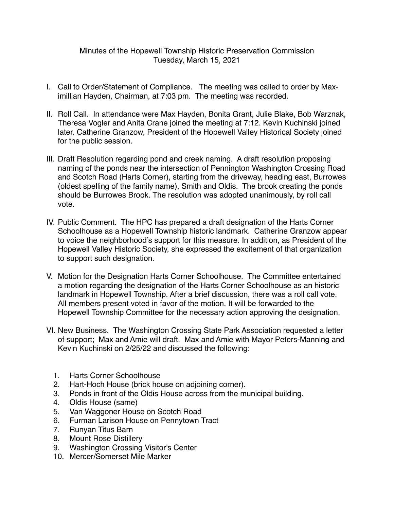## Minutes of the Hopewell Township Historic Preservation Commission Tuesday, March 15, 2021

- I. Call to Order/Statement of Compliance. The meeting was called to order by Maximillian Hayden, Chairman, at 7:03 pm. The meeting was recorded.
- II. Roll Call. In attendance were Max Hayden, Bonita Grant, Julie Blake, Bob Warznak, Theresa Vogler and Anita Crane joined the meeting at 7:12. Kevin Kuchinski joined later. Catherine Granzow, President of the Hopewell Valley Historical Society joined for the public session.
- III. Draft Resolution regarding pond and creek naming. A draft resolution proposing naming of the ponds near the intersection of Pennington Washington Crossing Road and Scotch Road (Harts Corner), starting from the driveway, heading east, Burrowes (oldest spelling of the family name), Smith and Oldis. The brook creating the ponds should be Burrowes Brook. The resolution was adopted unanimously, by roll call vote.
- IV. Public Comment. The HPC has prepared a draft designation of the Harts Corner Schoolhouse as a Hopewell Township historic landmark. Catherine Granzow appear to voice the neighborhood's support for this measure. In addition, as President of the Hopewell Valley Historic Society, she expressed the excitement of that organization to support such designation.
- V. Motion for the Designation Harts Corner Schoolhouse. The Committee entertained a motion regarding the designation of the Harts Corner Schoolhouse as an historic landmark in Hopewell Township. After a brief discussion, there was a roll call vote. All members present voted in favor of the motion. It will be forwarded to the Hopewell Township Committee for the necessary action approving the designation.
- VI. New Business. The Washington Crossing State Park Association requested a letter of support; Max and Amie will draft. Max and Amie with Mayor Peters-Manning and Kevin Kuchinski on 2/25/22 and discussed the following:
	- 1. Harts Corner Schoolhouse
	- 2. Hart-Hoch House (brick house on adjoining corner).
	- 3. Ponds in front of the Oldis House across from the municipal building.
	- 4. Oldis House (same)
	- 5. Van Waggoner House on Scotch Road
	- 6. Furman Larison House on Pennytown Tract
	- 7. Runyan Titus Barn
	- 8. Mount Rose Distillery
	- 9. Washington Crossing Visitor's Center
	- 10. Mercer/Somerset Mile Marker